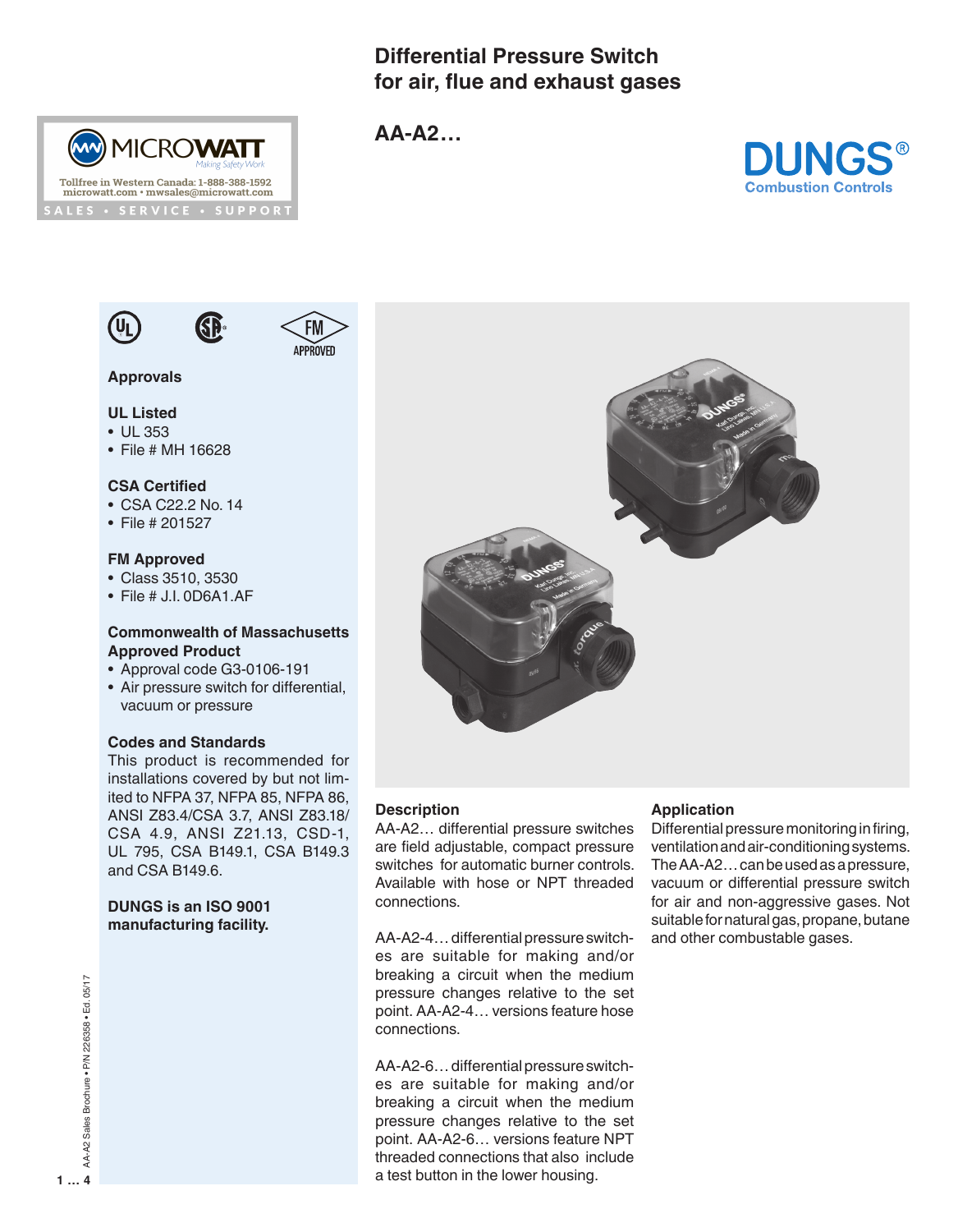# **Differential Pressure Switch for air, flue and exhaust gases**



**AA-A2…**





# **UL Listed**

- UL 353
- File # MH 16628

## **CSA Certified**

- CSA C22.2 No. 14
- File # 201527

#### **FM Approved**

- Class 3510, 3530
- File # J.I. 0D6A1.AF

## **Commonwealth of Massachusetts Approved Product**

- Approval code G3-0106-191
- Air pressure switch for differential, vacuum or pressure

#### **Codes and Standards**

This product is recommended for installations covered by but not limited to NFPA 37, NFPA 85, NFPA 86, ANSI Z83.4/CSA 3.7, ANSI Z83.18/ CSA 4.9, ANSI Z21.13, CSD-1, UL 795, CSA B149.1, CSA B149.3 and CSA B149.6.

# **DUNGS is an ISO 9001 manufacturing facility.**



# **Description**

AA-A2… differential pressure switches are field adjustable, compact pressure switches for automatic burner controls. Available with hose or NPT threaded connections.

AA-A2-4… differential pressure switches are suitable for making and/or breaking a circuit when the medium pressure changes relative to the set point. AA-A2-4… versions feature hose connections.

AA-A2-6… differential pressure switches are suitable for making and/or breaking a circuit when the medium pressure changes relative to the set point. AA-A2-6… versions feature NPT threaded connections that also include a test button in the lower housing.

#### **Application**

Differential pressure monitoring in firing, ventilation and air-conditioning systems. The AA-A2… can be used as a pressure, vacuum or differential pressure switch for air and non-aggressive gases. Not suitable for natural gas, propane, butane and other combustable gases.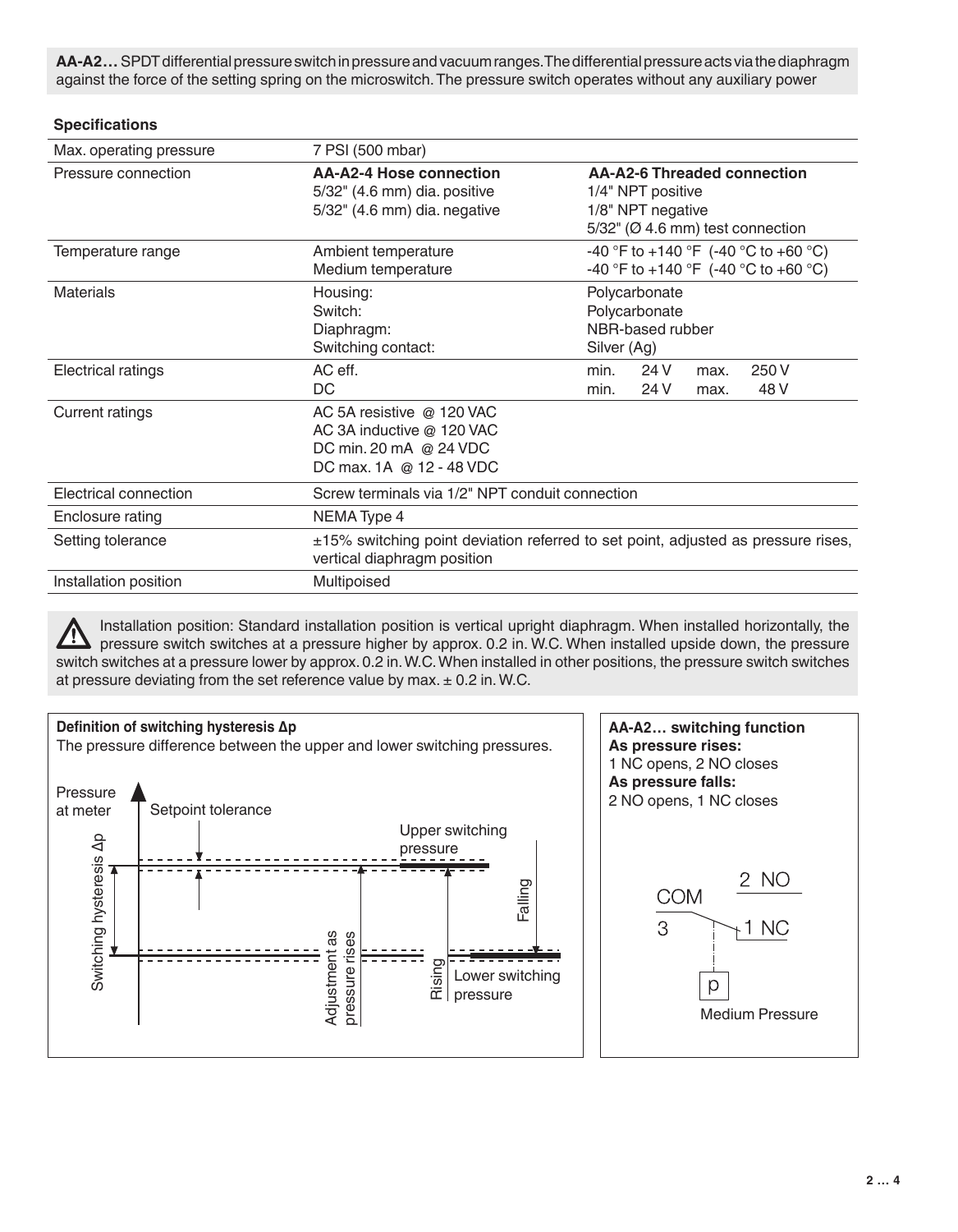**AA-A2…** SPDT differential pressure switch in pressure and vacuum ranges. The differential pressure acts via the diaphragm against the force of the setting spring on the microswitch. The pressure switch operates without any auxiliary power

## **Specifications**

| Max. operating pressure | 7 PSI (500 mbar)                                                                                                 |                                                                                                                                  |              |              |               |  |  |  |
|-------------------------|------------------------------------------------------------------------------------------------------------------|----------------------------------------------------------------------------------------------------------------------------------|--------------|--------------|---------------|--|--|--|
| Pressure connection     | AA-A2-4 Hose connection<br>5/32" (4.6 mm) dia. positive<br>5/32" (4.6 mm) dia. negative                          | <b>AA-A2-6 Threaded connection</b><br>1/4" NPT positive<br>1/8" NPT negative<br>$5/32$ " ( $\varnothing$ 4.6 mm) test connection |              |              |               |  |  |  |
| Temperature range       | Ambient temperature<br>Medium temperature                                                                        | -40 °F to +140 °F (-40 °C to +60 °C)<br>-40 °F to +140 °F (-40 °C to +60 °C)                                                     |              |              |               |  |  |  |
| <b>Materials</b>        | Housing:<br>Switch:<br>Diaphragm:<br>Switching contact:                                                          | Polycarbonate<br>Polycarbonate<br>NBR-based rubber<br>Silver (Ag)                                                                |              |              |               |  |  |  |
| Electrical ratings      | AC eff.<br>DC                                                                                                    | min.<br>min.                                                                                                                     | 24 V<br>24 V | max.<br>max. | 250 V<br>48 V |  |  |  |
| <b>Current ratings</b>  | AC 5A resistive @ 120 VAC<br>AC 3A inductive @ 120 VAC<br>DC min. 20 mA @ 24 VDC<br>DC max. 1A @ 12 - 48 VDC     |                                                                                                                                  |              |              |               |  |  |  |
| Electrical connection   | Screw terminals via 1/2" NPT conduit connection                                                                  |                                                                                                                                  |              |              |               |  |  |  |
| Enclosure rating        | NEMA Type 4                                                                                                      |                                                                                                                                  |              |              |               |  |  |  |
| Setting tolerance       | ±15% switching point deviation referred to set point, adjusted as pressure rises,<br>vertical diaphragm position |                                                                                                                                  |              |              |               |  |  |  |
| Installation position   | Multipoised                                                                                                      |                                                                                                                                  |              |              |               |  |  |  |

Installation position: Standard installation position is vertical upright diaphragm. When installed horizontally, the <u>/IN</u> pressure switch switches at a pressure higher by approx. 0.2 in. W.C. When installed upside down, the pressure switch switches at a pressure lower by approx. 0.2 in. W.C. When installed in other positions, the pressure switch switches at pressure deviating from the set reference value by max. ± 0.2 in. W.C.

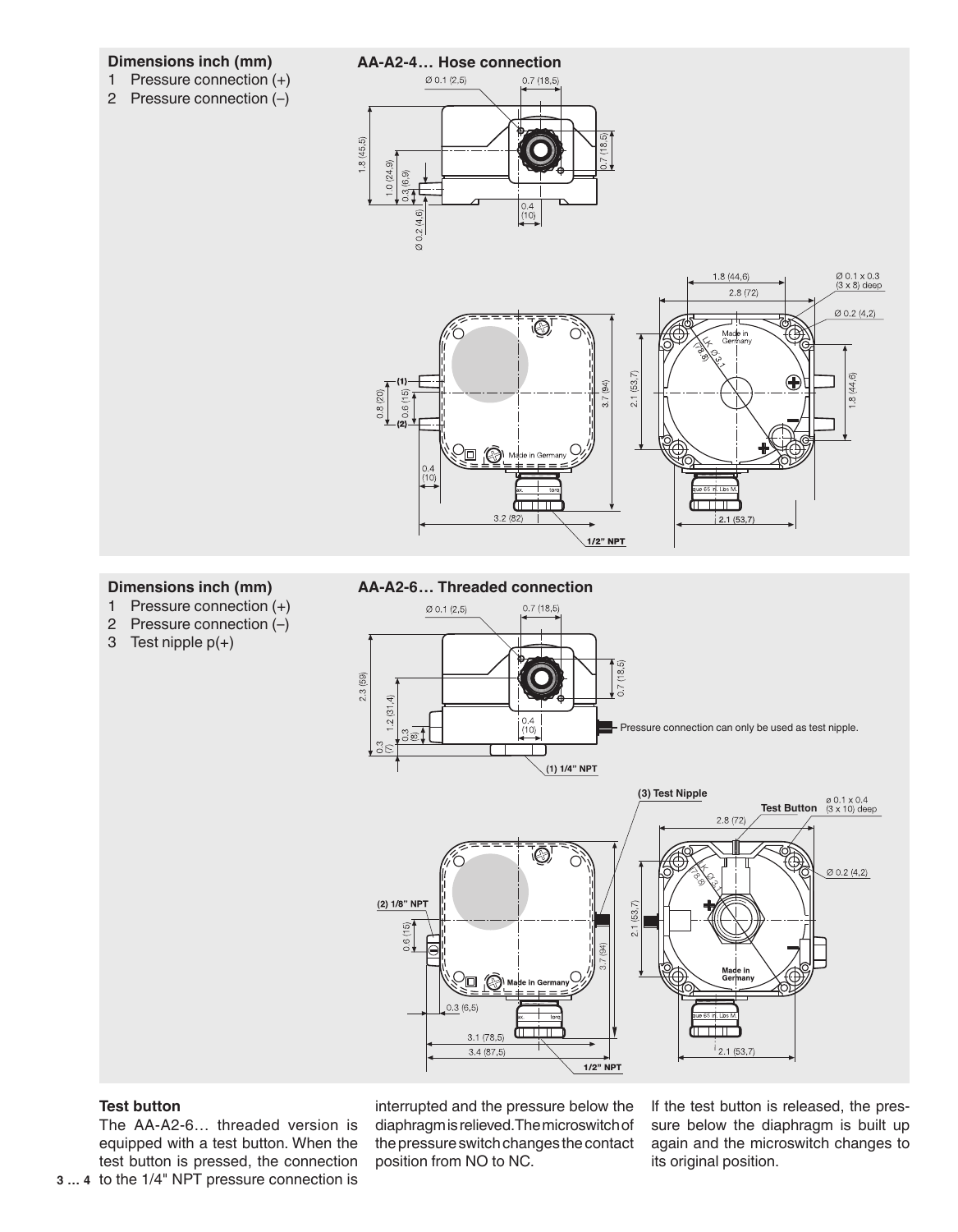#### **Dimensions inch (mm)**

- 1 Pressure connection (+)
- 2 Pressure connection (–)



0.4<br>(10)

 $.0(24.9)$ 



#### **Dimensions inch (mm)**

- 1 Pressure connection (+)
- 2 Pressure connection (–)
- 3 Test nipple p(+)

#### **AA-A2-6… Threaded connection**



#### **Test button**

The AA-A2-6… threaded version is equipped with a test button. When the test button is pressed, the connection

interrupted and the pressure below the diaphragm is relieved. The microswitch of the pressure switch changes the contact position from NO to NC.

If the test button is released, the pressure below the diaphragm is built up again and the microswitch changes to its original position.